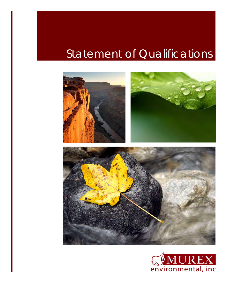# Statement of Qualifications



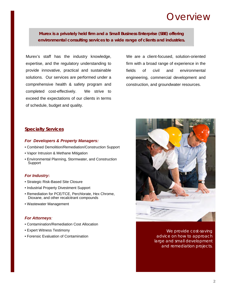### Overview

**Murex is a privately held firm and a Small Business Enterprise (SBE) offering environmental consulting services to a wide range of clients and industries.** 

Murex's staff has the industry knowledge, expertise, and the regulatory understanding to provide innovative, practical and sustainable solutions. Our services are performed under a comprehensive health & safety program and completed cost-effectively. We strive to exceed the expectations of our clients in terms of schedule, budget and quality.

We are a client-focused, solution-oriented firm with a broad range of experience in the fields of civil and environmental engineering, commercial development and construction, and groundwater resources.

#### **Specialty Services**

#### *For Developers & Property Managers:*

- Combined Demolition/Remediation/Construction Support
- Vapor Intrusion & Methane Mitigation
- Environmental Planning, Stormwater, and Construction Support

#### *For Industry***:**

- Strategic Risk-Based Site Closure
- Industrial Property Divestment Support
- Remediation for PCE/TCE, Perchlorate, Hex Chrome, Dioxane, and other recalcitrant compounds
- Wastewater Management

#### *For Attorneys:*

- Contamination/Remediation Cost Allocation
- Expert Witness Testimony
- Forensic Evaluation of Contamination



We provide cost-saving advice on how to approach large and small development and remediation projects.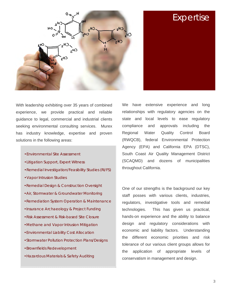



With leadership exhibiting over 35 years of combined experience, we provide practical and reliable guidance to legal, commercial and industrial clients seeking environmental consulting services. Murex has industry knowledge, expertise and proven solutions in the following areas:

- •Environmental Site Assessment
- •Litigation Support, Expert Witness
- •Remedial Investigation/Feasibility Studies (RI/FS)
- •Vapor Intrusion Studies
- •Remedial Design & Construction Oversight
- •Air, Stormwater & Groundwater Monitoring
- •Remediation System Operation & Maintenance
- •Insurance Archaeology & Project Funding
- •Risk Assessment & Risk-based Site Closure
- •Methane and Vapor Intrusion Mitigation
- •Environmental Liability Cost Allocation
- •Stormwater Pollution Protection Plans/Designs
- •Brownfields Redevelopment
- •Hazardous Materials & Safety Auditing

We have extensive experience and long relationships with regulatory agencies on the state and local levels to ease regulatory compliance and approvals including the Regional Water Quality Control Board (RWQCB), federal Environmental Protection Agency (EPA) and California EPA (DTSC), South Coast Air Quality Management District (SCAQMD) and dozens of municipalities throughout California.

One of our strengths is the background our key staff posses with various clients, industries, regulators, investigative tools and remedial technologies. This has given us practical, hands-on experience and the ability to balance design and regulatory considerations with economic and liability factors. Understanding the different economic priorities and risk tolerance of our various client groups allows for the application of appropriate levels of conservatism in management and design.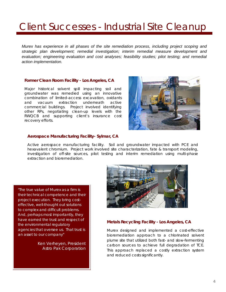## Client Successes - Industrial Site Cleanup

*Murex has experience in all phases of the site remediation process, including project scoping and strategic plan development; remedial investigation; interim remedial measure development and evaluation; engineering evaluation and cost analyses; feasibility studies; pilot testing; and remedial action implementation.* 

#### **Former Clean Room Facility - Los Angeles, CA**

Major historical solvent spill impacting soil and groundwater was remedied using an innovative combination of limited-access excavation, oxidants and vacuum extraction underneath active commercial buildings. Project involved identifying other RPs, negotiating clean-up levels with the RWQCB and supporting client's insurance cost recovery efforts.



#### **Aerospace Manufacturing Facility- Sylmar, CA**

Active aerospace manufacturing facility. Soil and groundwater impacted with PCE and hexavalent chromium. Project work involved site characterization, fate & transport modeling, investigation of off-site sources, pilot testing and interim remediation using multi-phase extraction and bioremediation.

*"The true value of Murex as a firm is their technical competence and their project execution. They bring costeffective, well-thought out solutions to complex and difficult problems. And, perhaps most importantly, they have earned the trust and respect of the environmental regulatory agencies that oversee us. That trust is an asset to our company"* 

> Ken Verheyen, President Astro Pak Corporation



#### **Metals Recycling Facility - Los Angeles, CA**

Murex designed and implemented a cost-effective bioremediation approach to a chlorinated solvent plume site that utilized both fast- and slow-fermenting carbon sources to achieve full degradation of TCE. This approach replaced a costly extraction system and reduced costs significantly.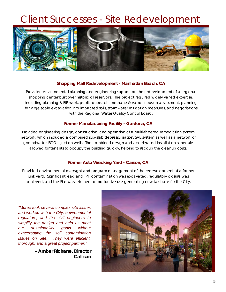### Client Successes - Site Redevelopment



#### **Shopping Mall Redevelopment - Manhattan Beach, CA**

Provided environmental planning and engineering support on the redevelopment of a regional shopping center built over historic oil reservoirs. The project required widely varied expertise, including planning & EIR work, public outreach, methane & vapor intrusion assessment, planning for large scale excavation into impacted soils, stormwater mitigation measures, and negotiations with the Regional Water Quality Control Board.

#### **Former Manufacturing Facility - Gardena, CA**

Provided engineering design, construction, and operation of a multi-faceted remediation system network, which included a combined sub-slab depressurization/SVE system as well as a network of groundwater ISCO injection wells. The combined design and accelerated installation schedule allowed for tenants to occupy the building quickly, helping to recoup the cleanup costs.

#### **Former Auto Wrecking Yard - Carson, CA**

Provided environmental oversight and program management of the redevelopment of a former junk yard. Significant lead and TPH contamination was excavated, regulatory closure was achieved, and the Site was returned to productive use generating new tax base for the City.

*"Murex took several complex site issues and worked with the City, environmental regulators, and the civil engineers to simplify the design and help us meet our sustainability goals without exacerbating the soil contamination issues on Site. They were efficient, thorough, and a great project partner."* 

> *- Amber Richane, Director Callison*

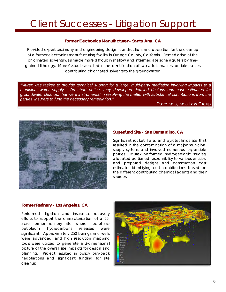## Client Successes - Litigation Support

#### **Former Electronics Manufacturer - Santa Ana, CA**

Provided expert testimony and engineering design, construction, and operation for the cleanup of a former electronics manufacturing facility in Orange County, California. Remediation of the chlorinated solvents was made more difficult in shallow and intermediate zone aquifers by finegrained lithology. Murex's studies resulted in the identification of two additional responsible parties contributing chlorinated solvents to the groundwater.

*"Murex was tasked to provide technical support for a large, multi-party mediation involving impacts to a municipal water supply. On short notice, they developed detailed designs and cost estimates for groundwater cleanup, that were instrumental in resolving the matter with substantial contributions from the parties' insurers to fund the necessary remediation."* 

Dave Isola, Isola Law Group



#### **Superfund Site - San Bernardino, CA**

Significant rocket, flare, and pyrotechnics site that resulted in the contamination of a major municipal supply system, and involved numerous responsible parties. Murex performed hydrogeologic studies, allocated portioned responsibility to various entities, and prepared designs and construction cost estimates identifying cost contributions based on the different contributing chemical agents and their sources.

#### **Former Refinery - Los Angeles, CA**

Performed litigation and insurance recovery efforts to support the characterization of a 55 acre former refinery site where free-phase petroleum hydrocarbons releases were significant. Approximately 250 borings and wells were advanced, and high resolution mapping tools were utilized to generate a 3-dimensional picture of the overall site impacts for design and planning. Project resulted in policy buy-back negotiations and significant funding for site cleanup.